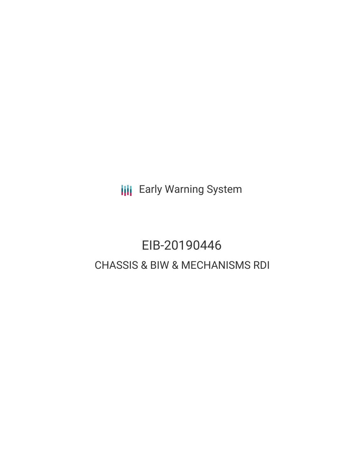**III** Early Warning System

# EIB-20190446 CHASSIS & BIW & MECHANISMS RDI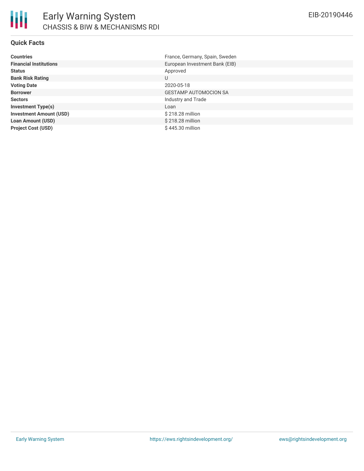

### **Quick Facts**

| <b>Countries</b>               | France, Germany, Spain, Sweden |
|--------------------------------|--------------------------------|
| <b>Financial Institutions</b>  | European Investment Bank (EIB) |
| <b>Status</b>                  | Approved                       |
| <b>Bank Risk Rating</b>        | U                              |
| <b>Voting Date</b>             | 2020-05-18                     |
| <b>Borrower</b>                | <b>GESTAMP AUTOMOCION SA</b>   |
| <b>Sectors</b>                 | Industry and Trade             |
| <b>Investment Type(s)</b>      | Loan                           |
| <b>Investment Amount (USD)</b> | \$218.28 million               |
| <b>Loan Amount (USD)</b>       | \$218.28 million               |
| <b>Project Cost (USD)</b>      | \$445.30 million               |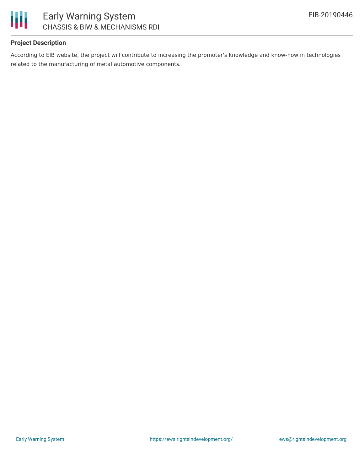

## **Project Description**

According to EIB website, the project will contribute to increasing the promoter's knowledge and know-how in technologies related to the manufacturing of metal automotive components.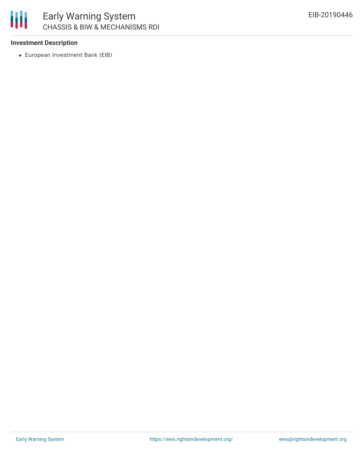

### **Investment Description**

European Investment Bank (EIB)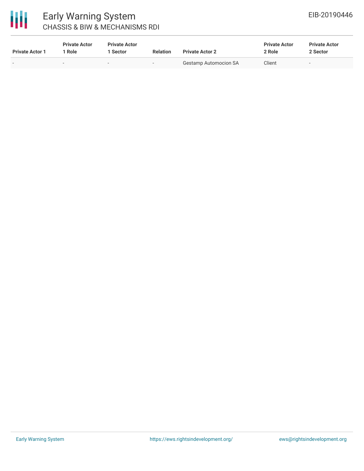

# Early Warning System CHASSIS & BIW & MECHANISMS RDI

| <b>Private Actor 1</b> | <b>Private Actor</b><br>Role | <b>Private Actor</b><br>1 Sector | <b>Relation</b> | <b>Private Actor 2</b>       | <b>Private Actor</b><br>2 Role | <b>Private Actor</b><br>2 Sector |
|------------------------|------------------------------|----------------------------------|-----------------|------------------------------|--------------------------------|----------------------------------|
| . .                    |                              | $\sim$                           |                 | <b>Gestamp Automocion SA</b> | Client                         |                                  |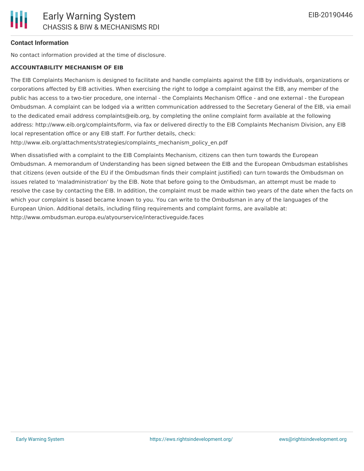### **Contact Information**

No contact information provided at the time of disclosure.

#### **ACCOUNTABILITY MECHANISM OF EIB**

The EIB Complaints Mechanism is designed to facilitate and handle complaints against the EIB by individuals, organizations or corporations affected by EIB activities. When exercising the right to lodge a complaint against the EIB, any member of the public has access to a two-tier procedure, one internal - the Complaints Mechanism Office - and one external - the European Ombudsman. A complaint can be lodged via a written communication addressed to the Secretary General of the EIB, via email to the dedicated email address complaints@eib.org, by completing the online complaint form available at the following address: http://www.eib.org/complaints/form, via fax or delivered directly to the EIB Complaints Mechanism Division, any EIB local representation office or any EIB staff. For further details, check:

http://www.eib.org/attachments/strategies/complaints\_mechanism\_policy\_en.pdf

When dissatisfied with a complaint to the EIB Complaints Mechanism, citizens can then turn towards the European Ombudsman. A memorandum of Understanding has been signed between the EIB and the European Ombudsman establishes that citizens (even outside of the EU if the Ombudsman finds their complaint justified) can turn towards the Ombudsman on issues related to 'maladministration' by the EIB. Note that before going to the Ombudsman, an attempt must be made to resolve the case by contacting the EIB. In addition, the complaint must be made within two years of the date when the facts on which your complaint is based became known to you. You can write to the Ombudsman in any of the languages of the European Union. Additional details, including filing requirements and complaint forms, are available at: http://www.ombudsman.europa.eu/atyourservice/interactiveguide.faces